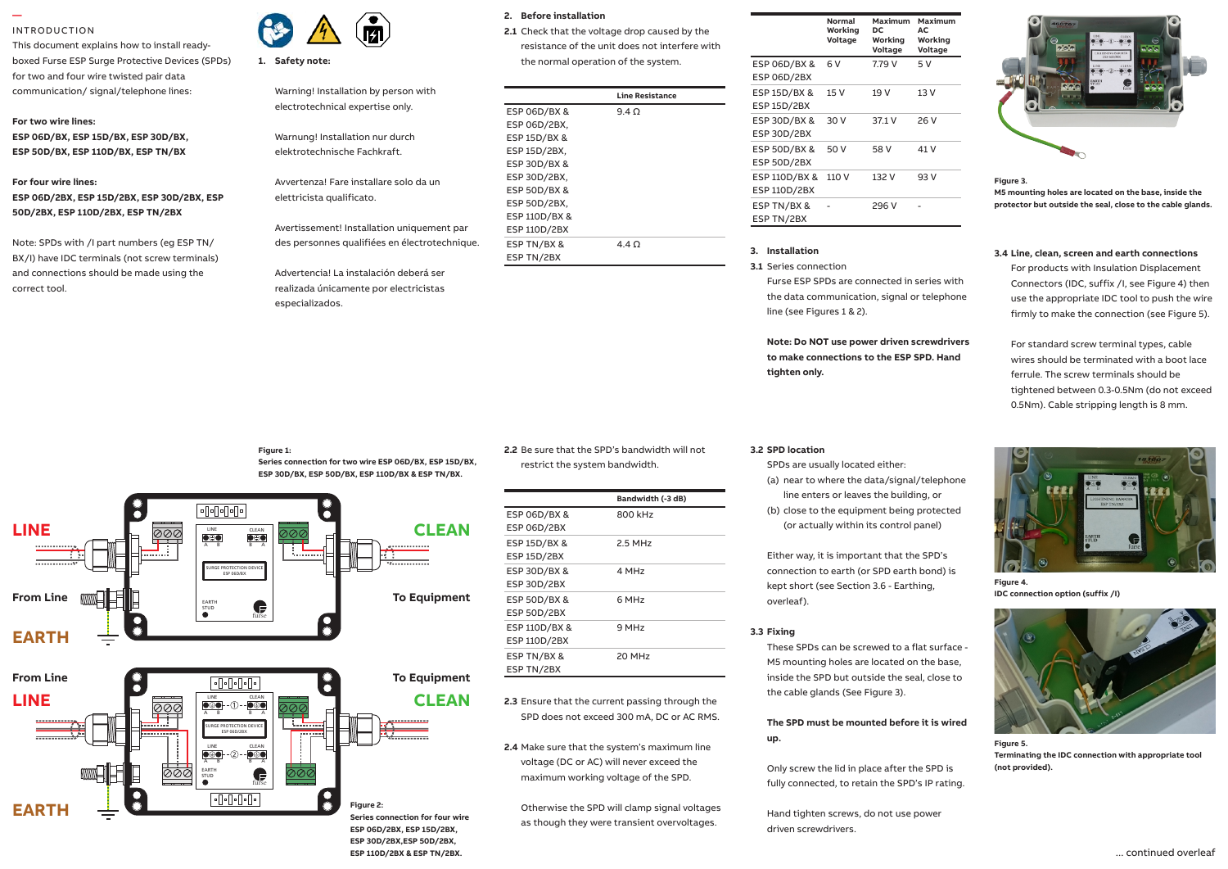# INTRODUCTION

**—** 

This document explains how to install readyboxed Furse ESP Surge Protective Devices (SPDs) for two and four wire twisted pair data communication/ signal/telephone lines:

#### **For two wire lines:**

**ESP 06D/BX, ESP 15D/BX, ESP 30D/BX, ESP 50D/BX, ESP 110D/BX, ESP TN/BX**

# **For four wire lines: ESP 06D/2BX, ESP 15D/2BX, ESP 30D/2BX, ESP 50D/2BX, ESP 110D/2BX, ESP TN/2BX**

Note: SPDs with /I part numbers (eg ESP TN/ BX/I) have IDC terminals (not screw terminals) and connections should be made using the correct tool.



### **1. Safety note:** Safety note:

Warning! Installation by person with electrotechnical expertise only.

Warnung! Installation nur durch elektrotechnische Fachkraft. 1.7 The connecting leads to phase/live

Avvertenza! Fare installare solo da un elettricista qualificato.  $1.8$  Connecting leads should be  $10^9$ multi-stranded copper conductor

Avertissement! Installation uniquement par FSP 1 des personnes qualifiées en électrotechnique.<br>ESP T achieved with the equivalent M1R

Advertencia! La instalación deberá ser $\overline{\phantom{a}}$ realizada únicamente por electricistas especializados.  $1.00$  Bind the connection  $\frac{1}{2}$ 

1.1 Install protectors very close to the power

# 2. Before installation

- **2.1** Check that the voltage drop caused by the
	- resistance of the unit does not interfere with the normal operation of the system.

| on with                            |                     | <b>Line Resistance</b> |  |
|------------------------------------|---------------------|------------------------|--|
| ılv.                               | ESP 06D/BX &        | $9.4 \Omega$           |  |
|                                    | ESP 06D/2BX,        |                        |  |
| rch                                | ESP 15D/BX &        |                        |  |
|                                    | ESP 15D/2BX,        |                        |  |
| olo da un                          | ESP 30D/BX &        |                        |  |
|                                    | ESP 30D/2BX,        |                        |  |
|                                    | ESP 50D/BX &        |                        |  |
|                                    | ESP 50D/2BX,        |                        |  |
| niquement par<br>électrotechnique. | ESP 110D/BX &       |                        |  |
|                                    | <b>ESP 110D/2BX</b> |                        |  |
|                                    | ESP TN/BX &         | $4.4 \Omega$           |  |
|                                    | ESP TN/2BX          |                        |  |
|                                    |                     |                        |  |

|                     | Normal<br>Working<br>Voltage | Maximum<br>DC<br>Working | Maximum<br>AC<br>Working |
|---------------------|------------------------------|--------------------------|--------------------------|
|                     |                              | Voltage                  | Voltage                  |
| ESP 06D/BX &        | 6 V                          | 7.79 V                   | 5 V                      |
| <b>ESP 06D/2BX</b>  |                              |                          |                          |
| ESP 15D/BX &        | 15 V                         | 19 V                     | 13V                      |
| <b>ESP 15D/2BX</b>  |                              |                          |                          |
| ESP 30D/BX &        | 30 V                         | 37.1 V                   | 26 V                     |
| <b>ESP 30D/2BX</b>  |                              |                          |                          |
| ESP 50D/BX &        | 50 V                         | 58 V                     | 41 V                     |
| <b>ESP 50D/2BX</b>  |                              |                          |                          |
| ESP 110D/BX &       | 110 V                        | 132 V                    | 93 V                     |
| <b>ESP 110D/2BX</b> |                              |                          |                          |
| ESP TN/BX &         |                              | 296 V                    |                          |
| ESP TN/2BX          |                              |                          |                          |

# **3. Installation**

**3.1** Series connection

Furse ESP SPDs are connected in series with the data communication, signal or telephone line (see Figures 1 & 2).

**Note: Do NOT use power driven screwdrivers to make connections to the ESP SPD. Hand**  tighten only. Installation Installation Instructions for Mains Wire-Institute only. Instructions in Protectors I<br>Institute of Mains Wire-Institute only. Institute of Mains Wire-Institute only. In the Main Wire-Institute on



**Figure 3.** 

**M5 mounting holes are located on the base, inside the protector but outside the seal, close to the cable glands.**

## **3.4 Line, clean, screen and earth connections**

For products with Insulation Displacement Connectors (IDC, suffix /I, see Figure 4) then use the appropriate IDC tool to push the wire firmly to make the connection (see Figure 5).

For standard screw terminal types, cable wires should be terminated with a boot lace ferrule. The screw terminals should be tightened between 0.3-0.5Nm (do not exceed 0.5Nm). Cable stripping length is 8 mm.

#### **Figure 1:**

**Series connection for two wire ESP 06D/BX, ESP 15D/BX, ESP 30D/BX, ESP 50D/BX, ESP 110D/BX & ESP TN/BX.**

**ESP 110D/2BX & ESP TN/2BX.**



**2.2** Be sure that the SPD's bandwidth will not restrict the system bandwidth.

|                     | Bandwidth (-3 dB)  |
|---------------------|--------------------|
| ESP 06D/BX &        | 800 kHz            |
| ESP 06D/2BX         |                    |
| ESP 15D/BX &        | $2.5$ MHz          |
| <b>ESP 15D/2BX</b>  |                    |
| ESP 30D/BX &        | 4 MH <sub>7</sub>  |
| <b>ESP 30D/2BX</b>  |                    |
| ESP 50D/BX &        | 6 MH <sub>7</sub>  |
| ESP 50D/2BX         |                    |
| ESP 110D/BX &       | 9 MH <sub>7</sub>  |
| <b>ESP 110D/2BX</b> |                    |
| ESP TN/BX &         | 20 MH <sub>7</sub> |
| ESP TN/2BX          |                    |
|                     |                    |

**2.3** Ensure that the current passing through the SPD does not exceed 300 mA, DC or AC RMS.

**2.4** Make sure that the system's maximum line voltage (DC or AC) will never exceed the maximum working voltage of the SPD.

Otherwise the SPD will clamp signal voltages as though they were transient overvoltages.

#### **3.2 SPD location**

SPDs are usually located either: (a) near to where the data/signal/telephone

line enters or leaves the building, or (b) close to the equipment being protected (or actually within its control panel)

Either way, it is important that the SPD's connection to earth (or SPD earth bond) is kept short (see Section 3.6 - Earthing, overleaf).

### **3.3 Fixing**

These SPDs can be screwed to a flat surface - M5 mounting holes are located on the base, inside the SPD but outside the seal, close to the cable glands (See Figure 3).

# **The SPD must be mounted before it is wired up.**

Only screw the lid in place after the SPD is fully connected, to retain the SPD's IP rating.

Hand tighten screws, do not use power driven screwdrivers.



**Figure 4. IDC connection option (suffix /I)**



**Figure 5. Terminating the IDC connection with appropriate tool (not provided).**